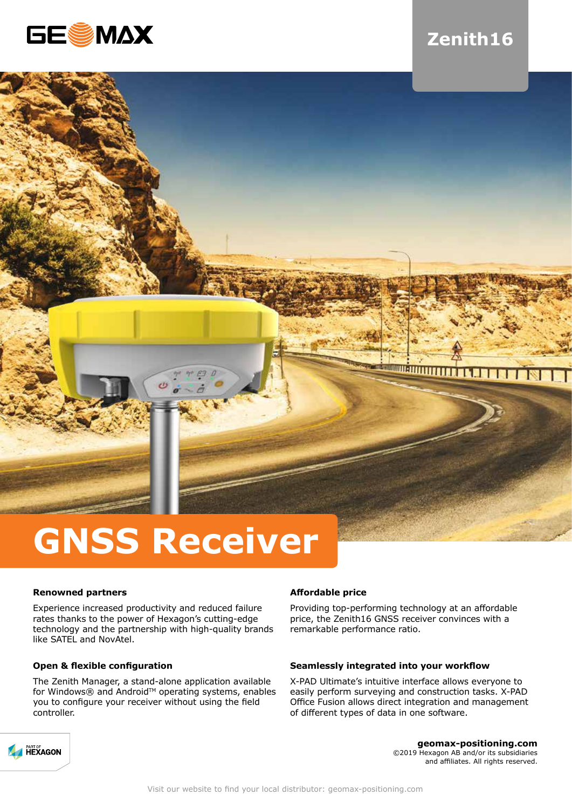

# **Zenith16**



# **GNSS Receiver**

# **Renowned partners**

Experience increased productivity and reduced failure rates thanks to the power of Hexagon's cutting-edge technology and the partnership with high-quality brands like SATEL and NovAtel.

# **Open & flexible configuration**

The Zenith Manager, a stand-alone application available for Windows® and Android™ operating systems, enables you to configure your receiver without using the field controller.

# **Affordable price**

Providing top-performing technology at an affordable price, the Zenith16 GNSS receiver convinces with a remarkable performance ratio.

## **Seamlessly integrated into your workflow**

X-PAD Ultimate's intuitive interface allows everyone to easily perform surveying and construction tasks. X-PAD Office Fusion allows direct integration and management of different types of data in one software.



**geomax-positioning.com** ©2019 Hexagon AB and/or its subsidiaries and affiliates. All rights reserved.